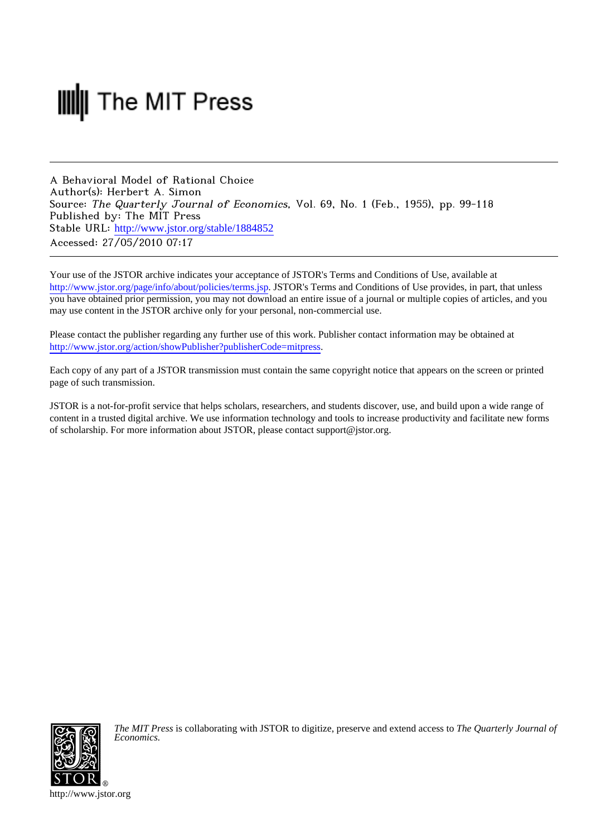# **III** The MIT Press

A Behavioral Model of Rational Choice Author(s): Herbert A. Simon Source: The Quarterly Journal of Economics, Vol. 69, No. 1 (Feb., 1955), pp. 99-118 Published by: The MIT Press Stable URL: [http://www.jstor.org/stable/1884852](http://www.jstor.org/stable/1884852?origin=JSTOR-pdf) Accessed: 27/05/2010 07:17

Your use of the JSTOR archive indicates your acceptance of JSTOR's Terms and Conditions of Use, available at <http://www.jstor.org/page/info/about/policies/terms.jsp>. JSTOR's Terms and Conditions of Use provides, in part, that unless you have obtained prior permission, you may not download an entire issue of a journal or multiple copies of articles, and you may use content in the JSTOR archive only for your personal, non-commercial use.

Please contact the publisher regarding any further use of this work. Publisher contact information may be obtained at [http://www.jstor.org/action/showPublisher?publisherCode=mitpress.](http://www.jstor.org/action/showPublisher?publisherCode=mitpress)

Each copy of any part of a JSTOR transmission must contain the same copyright notice that appears on the screen or printed page of such transmission.

JSTOR is a not-for-profit service that helps scholars, researchers, and students discover, use, and build upon a wide range of content in a trusted digital archive. We use information technology and tools to increase productivity and facilitate new forms of scholarship. For more information about JSTOR, please contact support@jstor.org.



*The MIT Press* is collaborating with JSTOR to digitize, preserve and extend access to *The Quarterly Journal of Economics.*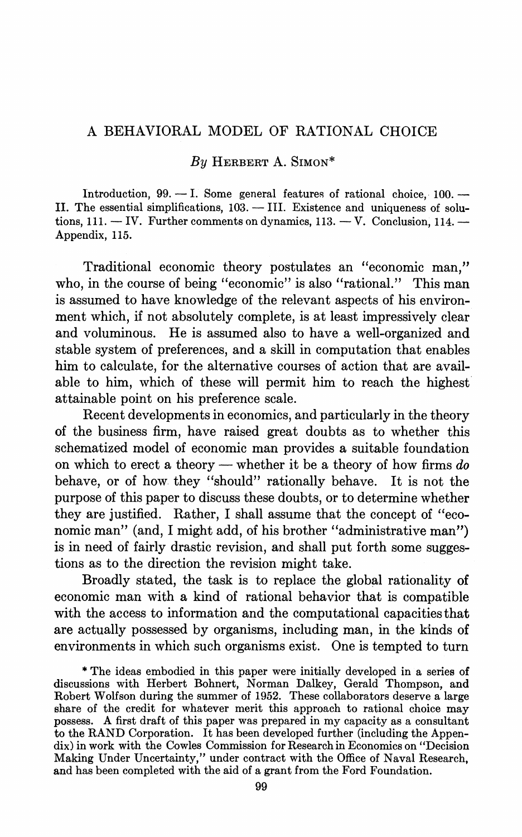### **A BEHAVIORAL MODEL OF RATIONAL CHOICE**

#### **By HERBERT A. SIMON\***

Introduction, 99. - I. Some general features of rational choice, 100. -**II.** The essential simplifications, 103. — III. Existence and uniqueness of solu**tions, 111.**  $-$  IV. Further comments on dynamics, 113.  $-$  V. Conclusion, 114.  $-$ **Appendix, 115.** 

**Traditional economic theory postulates an "economic man," who, in the course of being "economic" is also "rational." This man is assumed to have knowledge of the relevant aspects of his environment which, if not absolutely complete, is at least impressively clear and voluminous. He is assumed also to have a well-organized and stable system of preferences, and a skill in computation that enables him to calculate, for the alternative courses of action that are available to him, which of these will permit him to reach the highest attainable point on his preference scale.** 

**Recent developments in economics, and particularly in the theory of the business firm, have raised great doubts as to whether this schematized model of economic man provides a suitable foundation on which to erect a theory - whether it be a theory of how firms do behave, or of how they "should" rationally behave. It is not the purpose of this paper to discuss these doubts, or to determine whether they are justified. Rather, I shall assume that the concept of "economic man" (and, I might add, of his brother "administrative man") is in need of fairly drastic revision, and shall put forth some suggestions as to the direction the revision might take.** 

**Broadly stated, the task is to replace the global rationality of economic man with a kind of rational behavior that is compatible with the access to information and the computational capacitiesthat are actually possessed by organisms, including man, in the kinds of environments in which such organisms exist. One is tempted to turn** 

**\* The ideas embodied in this paper were initially developed in a series of discussions with Herbert Bohnert, Norman Dalkey, Gerald Thompson, and Robert Wolfson during the summer of 1952. These collaborators deserve a large share of the credit for whatever merit this approach to rational choice may possess. A first draft of this paper was prepared in my capacity as a consultant to the RAND Corporation. It has been developed further (including the Appendix) in work with the Cowles Commission for Research in Economics on "Decision Making Under Uncertainty," under contract with the Office of Naval Research, and has been completed with the aid of a grant from the Ford Foundation.**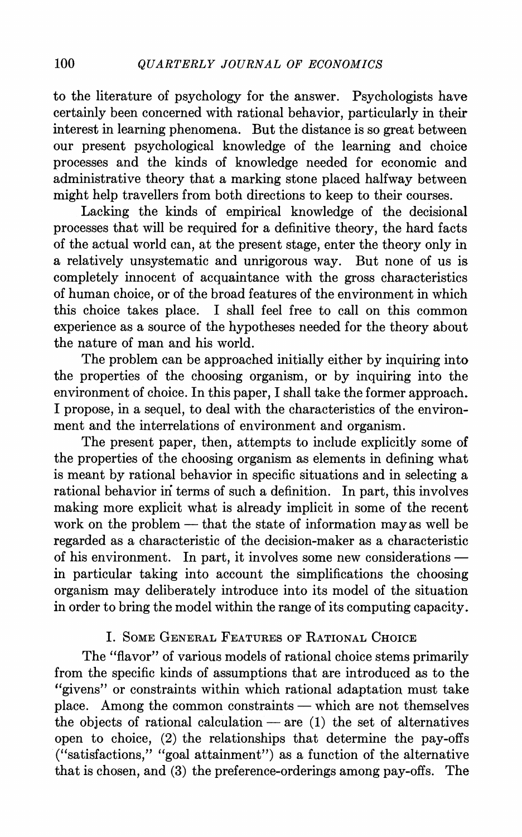**to the literature of psychology for the answer. Psychologists have certainly been concerned with rational behavior, particularly in their interest in learning phenomena. But the distance is so great between our present psychological knowledge of the learning and choice processes and the kinds of knowledge needed for economic and administrative theory that a marking stone placed halfway between might help travellers from both directions to keep to their courses.** 

**Lacking the kinds of empirical knowledge of the decisional processes that will be required for a definitive theory, the hard facts of the actual world can, at the present stage, enter the theory only in a relatively unsystematic and unrigorous way. But none of us is completely innocent of acquaintance with the gross characteristics of human choice, or of the broad features of the environment in which this choice takes place. I shall feel free to call on this common experience as a source of the hypotheses needed for the theory about the nature of man and his world.** 

**The problem can be approached initially either by inquiring into the properties of the choosing organism, or by inquiring into the environment of choice. In this paper, I shall take the former approach. I propose, in a sequel, to deal with the characteristics of the environment and the interrelations of environment and organism.** 

**The present paper, then, attempts to include explicitly some of the properties of the choosing organism as elements in defining what is meant by rational behavior in specific situations and in selecting a**  rational behavior in terms of such a definition. In part, this involves **making more explicit what is already implicit in some of the recent**  work on the problem - that the state of information may as well be **regarded as a characteristic of the decision-maker as a characteristic**  of his environment. In part, it involves some new considerations **in particular taking into account the simplifications the choosing organism may deliberately introduce into its model of the situation in order to bring the model within the range of its computing capacity.** 

# **I. SOME GENERAL FEATURES OF RATIONAL CHOICE**

**The "flavor" of various models of rational choice stems primarily from the specific kinds of assumptions that are introduced as to the "givens" or constraints within which rational adaptation must take place. Among the common constraints - which are not themselves**  the objects of rational calculation  $-$  are  $(1)$  the set of alternatives **open to choice, (2) the relationships that determine the pay-offs ("satisfactions," "goal attainment") as a function of the alternative that is chosen, and (3) the preference-orderings among pay-offs. The**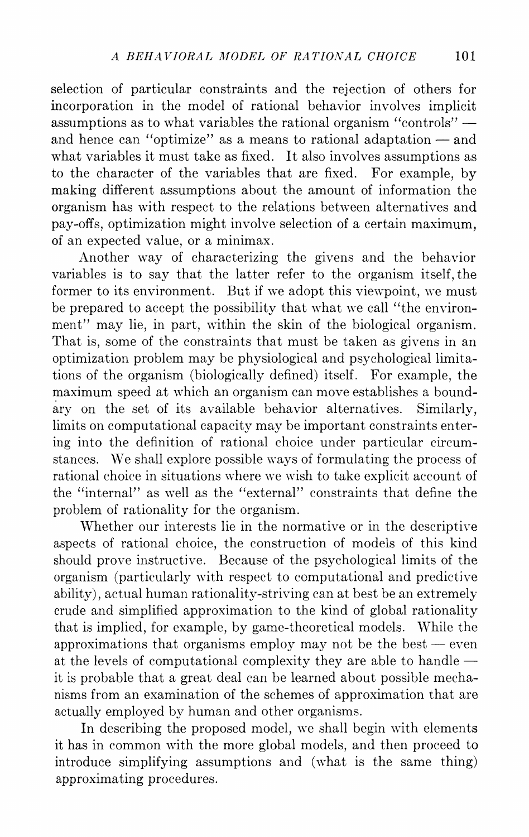selection of particular constraints and the rejection of others for incorporation in the model of rational behavior involves implicit **assumptions as to what variables the rational organism "controls"** and hence can "optimize" as a means to rational adaptation — and what variables it must take as fixed. It also involves assumptions as to the character of the variables that are fixed. For example, by making different assumptions about the amount of information the **payable in space is optimized in the space of the relations between alternatives and** pay-offs, optimization might involve selection of a certain maximum. of an expected value, or a minimax.

Another way of characterizing the givens and the behavior variables is to say that the latter refer to the organism itself, the former to its environment. But if we adopt this viewpoint, we must be prepared to accept the possibility that what we call "the environment" may lie, in part, within the skin of the biological organism. That is, some of the constraints that must be taken as givens in an optimization problem may be physiological and psychological limitations of the organism (biologically defined) itself. For example, the maximum speed at which an organism can move establishes a boundary on the set of its available behavior alternatives. Similarly, limits on computational capacity may be important constraints entering into the definition of rational choice under particular circumstances. We shall explore possible ways of formulating the process of rational choice in situations where we wish to take explicit account of the "internal" as well as the "external" constraints that define the problem of rationality for the organism.

Whether our interests lie in the normative or in the descriptive aspects of rational choice, the construction of models of this kind should prove instructive. Because of the psychological limits of the organism (particularly with respect to computational and predictive ability), actual human rationality-striving can at best be an extremely the erude and simplified approximation to the kind of global rationality that is implied, for example, by game-theoretical models. While the approximations that organisms employ may not be the best — even at the levels of computational complexity they are able to handle it is probable that a great deal can be learned about possible mechahisms from an examination of the schemes of approximation that are actually employed by human and other organisms.

In describing the proposed model, we shall begin with elements it has in common with the more global models, and then proceed to introduce simplifying assumptions and (what is the same thing) approximating procedures.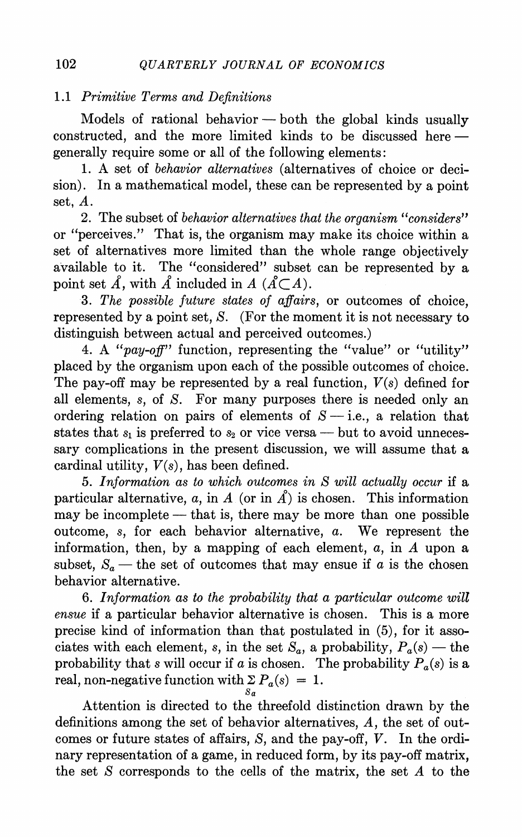# **1.1 Primitive Terms and Definitions**

**Models of rational behavior - both the global kinds usually**  constructed, and the more limited kinds to be discussed here **generally require some or all of the following elements:** 

**1. A set of behavior alternatives (alternatives of choice or decision). In a mathematical model, these can be represented by a point set, A.** 

**2. The subset of behavior alternatives that the organism "considers" or "perceives." That is, the organism may make its choice within a set of alternatives more limited than the whole range objectively available to it. The "considered" subset can be represented by a point set**  $\hat{A}$ **, with**  $\hat{A}$  **included in**  $A$  **(** $\hat{A} \subseteq A$ **).** 

**3. The possible future states of affairs, or outcomes of choice, represented by a point set, S. (For the moment it is not necessary to distinguish between actual and perceived outcomes.)** 

**4. A "pay-off" function, representing the "value" or "utility" placed by the organism upon each of the possible outcomes of choice. The pay-off may be represented by a real function, V(s) defined for all elements, s, of S. For many purposes there is needed only an**  ordering relation on pairs of elements of  $S$ -i.e., a relation that states that  $s_i$  is preferred to  $s_i$  or vice versa — but to avoid unneces**sary complications in the present discussion, we will assume that a cardinal utility, V(s), has been defined.** 

**5. Information as to which outcomes in S will actually occur if a particular alternative, a, in A** (or in  $\hat{A}$ ) is chosen. This information may be incomplete — that is, there may be more than one possible **outcome, s, for each behavior alternative, a. We represent the information, then, by a mapping of each element, a, in A upon a**  subset,  $S_a$  – the set of outcomes that may ensue if a is the chosen **behavior alternative.** 

**6. Information as to the probability that a particular outcome will ensue if a particular behavior alternative is chosen. This is a more precise kind of information than that postulated in (5), for it asso**ciates with each element, s, in the set  $S_a$ , a probability,  $P_a(s)$  — the probability that s will occur if a is chosen. The probability  $P_a(s)$  is a **real, non-negative function with**  $\sum P_a(s) = 1$ **. Sa** 

**Attention is directed to the threefold distinction drawn by the definitions among the set of behavior alternatives, A, the set of outcomes or future states of affairs, S, and the pay-off, V. In the ordinary representation of a game, in reduced form, by its pay-off matrix, the set S corresponds to the cells of the matrix, the set A to the** 

**102**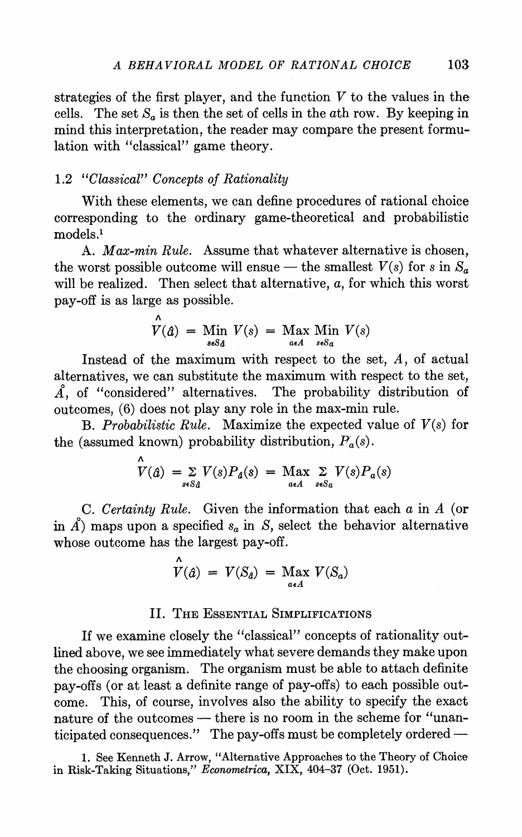**strategies of the first player, and the function V to the values in the**  cells. The set  $S_a$  is then the set of cells in the *ath* row. By keeping in **mind this interpretation, the reader may compare the present formulation with "classical" game theory.** 

# **1.2 "Classical" Concepts of Rationality**

**With these elements, we can define procedures of rational choice corresponding to the ordinary game-theoretical and probabilistic models.'** 

**A. Max-min Rule. Assume that whatever alternative is chosen,**  the worst possible outcome will ensue — the smallest  $V(s)$  for s in  $S_a$ **will be realized. Then select that alternative, a, for which this worst pay-off is as large as possible.** 

$$
\hat{V}(\hat{a}) = \lim_{s \in S_{\hat{a}}} V(s) = \max_{a \in A} \min_{s \in S_{\hat{a}}} V(s)
$$

**Instead of the maximum with respect to the set, A, of actual alternatives, we can substitute the maximum with respect to the set, A, of "considered" alternatives. The probability distribution of outcomes, (6) does not play any role in the max-min rule.** 

**B.** Probabilistic Rule. Maximize the expected value of  $V(s)$  for the (assumed known) probability distribution,  $P_a(s)$ .

$$
\begin{array}{l}\n\Lambda \\
V(\hat{a}) = \sum_{s \in S_{\hat{a}}} V(s) P_{\hat{a}}(s) = \max_{a \in A} \sum_{s \in S_{\hat{a}}} V(s) P_{a}(s)\n\end{array}
$$

**C. Certainty Rule. Given the information that each a in A (or**  in  $\hat{A}$ ) maps upon a specified  $s_a$  in S, select the behavior alternative **whose outcome has the largest pay-off.** 

$$
\bigvee_{a=1}^{n} G(a) = V(S_a) = \max_{a \in A} V(S_a)
$$

# **II. THE ESSENTIAL SIMPLIFICATIONS**

**If we examine closely the "classical" concepts of rationality outlined above, we see immediately what severe demands they make upon the choosing organism. The organism must be able to attach definite pay-offs (or at least a definite range of pay-offs) to each possible outcome. This, of course, involves also the ability to specify the exact nature of the outcomes - there is no room in the scheme for "unan**ticipated consequences." The pay-offs must be completely ordered -

**1. See Kenneth J. Arrow, "Alternative Approaches to the Theory of Choice in Risk-Taking Situations," Econometrica, XIX, 404-37 (Oct. 1951).**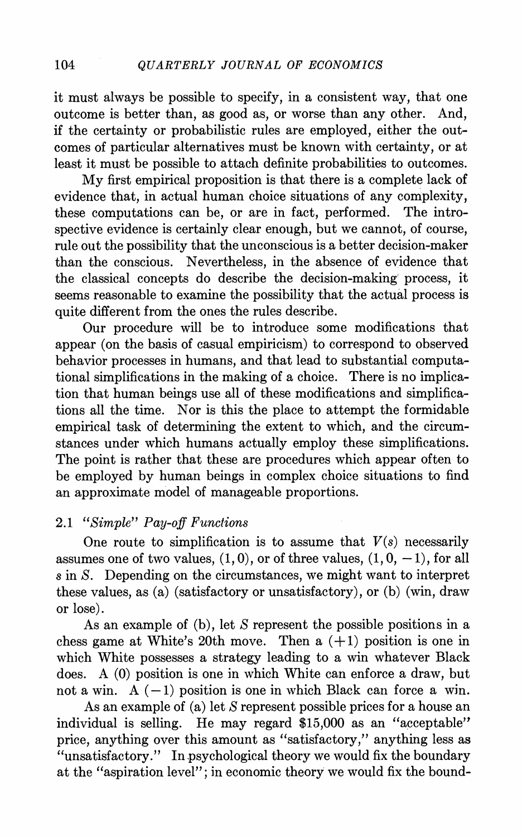**it must always be possible to specify, in a consistent way, that one outcome is better than, as good as, or worse than any other. And, if the certainty or probabilistic rules are employed, either the outcomes of particular alternatives must be known with certainty, or at least it must be possible to attach definite probabilities to outcomes.** 

**My first empirical proposition is that there is a complete lack of evidence that, in actual human choice situations of any complexity, these computations can be, or are in fact, performed. The introspective evidence is certainly clear enough, but we cannot, of course, rule out the possibility that the unconscious is a better decision-maker than the conscious. Nevertheless, in the absence of evidence that the classical concepts do describe the decision-making process, it seems reasonable to examine the possibility that the actual process is quite different from the ones the rules describe.** 

**Our procedure will be to introduce some modifications that appear (on the basis of casual empiricism) to correspond to observed behavior processes in humans, and that lead to substantial computational simplifications in the making of a choice. There is no implication that human beings use all of these modifications and simplifications all the time. Nor is this the place to attempt the formidable empirical task of determining the extent to which, and the circumstances under which humans actually employ these simplifications. The point is rather that these are procedures which appear often to be employed by human beings in complex choice situations to find an approximate model of manageable proportions.** 

# **2.1 "Simple" Pay-off Functions**

One route to simplification is to assume that  $V(s)$  necessarily assumes one of two values,  $(1, 0)$ , or of three values,  $(1, 0, -1)$ , for all **s in S. Depending on the circumstances, we might want to interpret these values, as (a) (satisfactory or unsatisfactory), or (b) (win, draw or lose).** 

**As an example of (b), let S represent the possible positions in a**  chess game at White's 20th move. Then  $a (+1)$  position is one in **which White possesses a strategy leading to a win whatever Black does. A (0) position is one in which White can enforce a draw, but**  not a win.  $A(-1)$  position is one in which Black can force a win.

**As an example of (a) let S represent possible prices for a house an individual is selling. He may regard \$15,000 as an "acceptable" price, anything over this amount as "satisfactory," anything less as "unsatisfactory." In psychological theory we would fix the boundary at the "aspiration level"; in economic theory we would fix the bound-**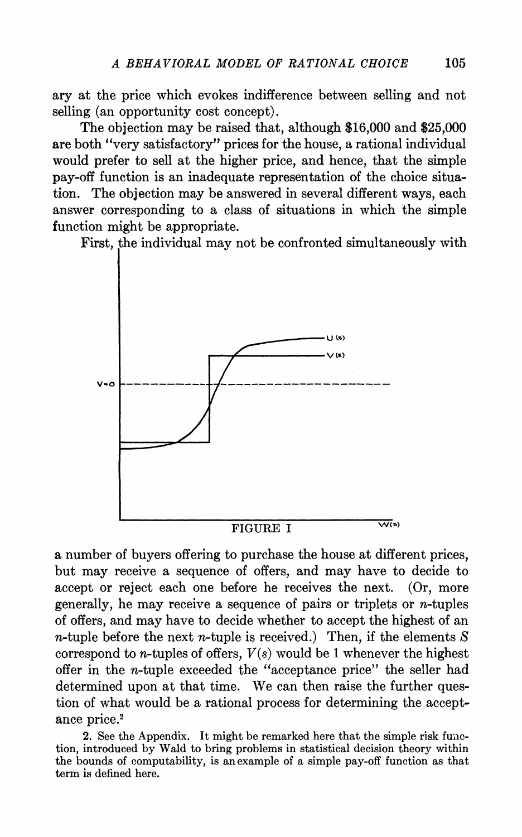**ary at the price which evokes indifference between selling and not selling (an opportunity cost concept).** 

**The objection may be raised that, although \$16,000 and \$25,000 are both "very satisfactory" prices for the house, a rational individual would prefer to sell at the higher price, and hence, that the simple pay-off function is an inadequate representation of the choice situation. The objection may be answered in several different ways, each answer corresponding to a class of situations in which the simple function might be appropriate.** 

**First, the individual may not be confronted simultaneously with** 



**a number of buyers offering to purchase the house at different prices, but may receive a sequence of offers, and may have to decide to accept or reject each one before he receives the next. (Or, more generally, he may receive a sequence of pairs or triplets or n-tuples of offers, and may have to decide whether to accept the highest of an n-tuple before the next n-tuple is received.) Then, if the elements S correspond to n-tuples of offers, V(s) would be 1 whenever the highest offer in the n-tuple exceeded the "acceptance price" the seller had determined upon at that time. We can then raise the further question of what would be a rational process for determining the acceptance price.2** 

**2. See the Appendix. It might be remarked here that the simple risk function, introduced by Wald to bring problems in statistical decision theory within the bounds of computability, is an example of a simple pay-off function as that term is defined here.**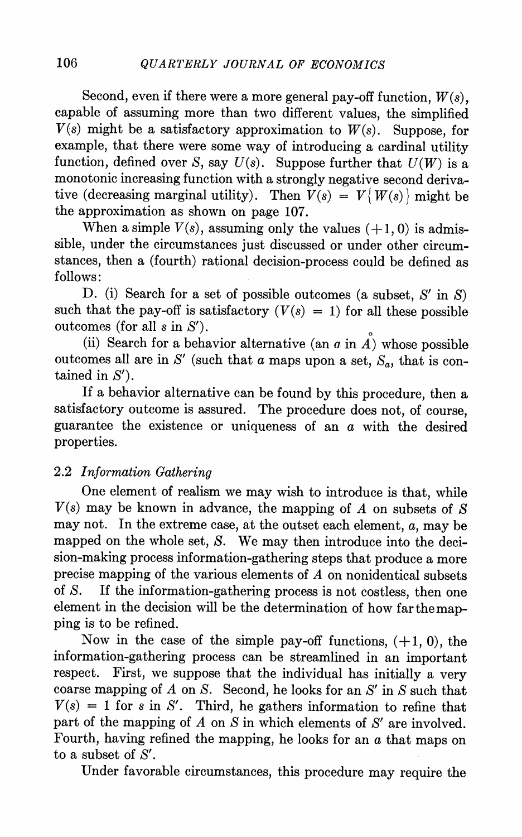**Second, even if there were a more general pay-off function, W(s), capable of assuming more than two different values, the simplified**   $V(s)$  might be a satisfactory approximation to  $W(s)$ . Suppose, for **example, that there were some way of introducing a cardinal utility**  function, defined over S, say  $U(s)$ . Suppose further that  $U(W)$  is a **monotonic increasing function with a strongly negative second deriva**tive (decreasing marginal utility). Then  $V(s) = V\{W(s)\}\$ might be **the approximation as shown on page 107.** 

When a simple  $V(s)$ , assuming only the values  $(+1, 0)$  is admis**sible, under the circumstances just discussed or under other circumstances, then a (fourth) rational decision-process could be defined as follows:** 

**D. (i) Search for a set of possible outcomes (a subset, S' in S)**  such that the pay-off is satisfactory  $(V(s) = 1)$  for all these possible **outcomes (for all s in S').** 

(ii) Search for a behavior alternative (an  $\alpha$  in  $\overrightarrow{A}$ ) whose possible outcomes all are in S' (such that a maps upon a set,  $S_a$ , that is con**tained in S').** 

**If a behavior alternative can be found by this procedure, then a satisfactory outcome is assured. The procedure does not, of course, guarantee the existence or uniqueness of an a with the desired properties.** 

# **2.2 Information Gathering**

**One element of realism we may wish to introduce is that, while**   $V(s)$  may be known in advance, the mapping of  $A$  on subsets of  $S$ **may not. In the extreme case, at the outset each element, a, may be mapped on the whole set, S. We may then introduce into the decision-making process information-gathering steps that produce a more**  precise mapping of the various elements of A on nonidentical subsets of S. If the information-gathering process is not costless then one **of S. If the information-gathering process is not costless, then one element in the decision will be the determination of how farthemapping is to be refined.** 

**Now in the case of the simple pay-off functions, (+1, 0), the information-gathering process can be streamlined in an important respect. First, we suppose that the individual has initially a very coarse mapping of A on S. Second, he looks for an S' in S such that**   $V(s) = 1$  for s in S'. Third, he gathers information to refine that **part of the mapping of A on S in which elements of S' are involved. Fourth, having refined the mapping, he looks for an a that maps on to a subset of S'.** 

**Under favorable circumstances, this procedure may require the**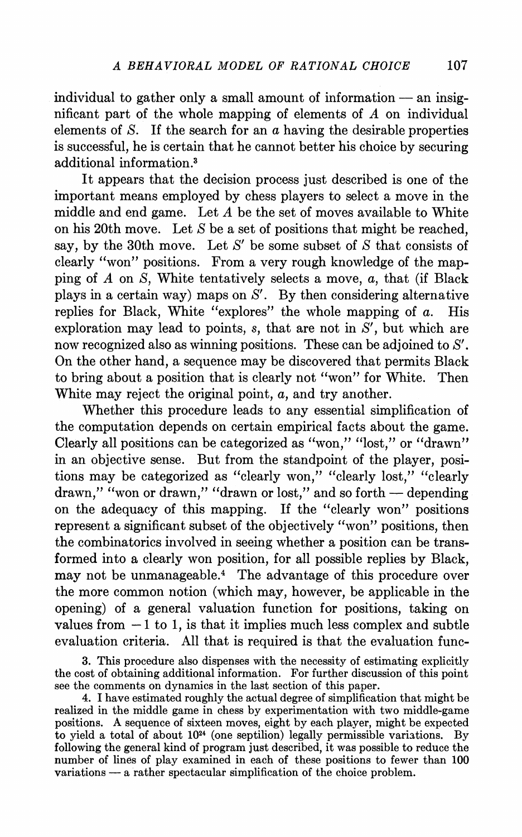individual to gather only a small amount of information — an insig**nificant part of the whole mapping of elements of A on individual elements of S. If the search for an a having the desirable properties is successful, he is certain that he cannot better his choice by securing additional information.3** 

**It appears that the decision process just described is one of the important means employed by chess players to select a move in the middle and end game. Let A be the set of moves available to White on his 20th move. Let S be a set of positions that might be reached, say, by the 30th move. Let S' be some subset of S that consists of clearly "won" positions. From a very rough knowledge of the mapping of A on S, White tentatively selects a move, a, that (if Black plays in a certain way) maps on S'. By then considering alternative replies for Black, White "explores" the whole mapping of a. His exploration may lead to points, s, that are not in S', but which are now recognized also as winning positions. These can be adjoined to S'. On the other hand, a sequence may be discovered that permits Black to bring about a position that is clearly not "won" for White. Then White may reject the original point, a, and try another.** 

**Whether this procedure leads to any essential simplification of the computation depends on certain empirical facts about the game. Clearly all positions can be categorized as "won," "lost," or "drawn" in an objective sense. But from the standpoint of the player, positions may be categorized as "clearly won," "clearly lost," "clearly**  drawn," "won or drawn," "drawn or lost," and so forth — depending **on the adequacy of this mapping. If the "clearly won" positions represent a significant subset of the objectively "won" positions, then the combinatorics involved in seeing whether a position can be transformed into a clearly won position, for all possible replies by Black, may not be unmanageable.4 The advantage of this procedure over the more common notion (which may, however, be applicable in the opening) of a general valuation function for positions, taking on values from -1 to 1, is that it implies much less complex and subtle evaluation criteria. All that is required is that the evaluation func-**

**3. This procedure also dispenses with the necessity of estimating explicitly the cost of obtaining additional information. For further discussion of this point see the comments on dynamics in the last section of this paper.** 

**4. I have estimated roughly the actual degree of simplification that might be realized in the middle game in chess by experimentation with two middle-game positions. A sequence of sixteen moves, eight by each player, might be expected to yield a total of about 1024 (one septilion) legally permissible variations. By following the general kind of program just described, it was possible to reduce the number of lines of play examined in each of these positions to fewer than 100**  variations - a rather spectacular simplification of the choice problem.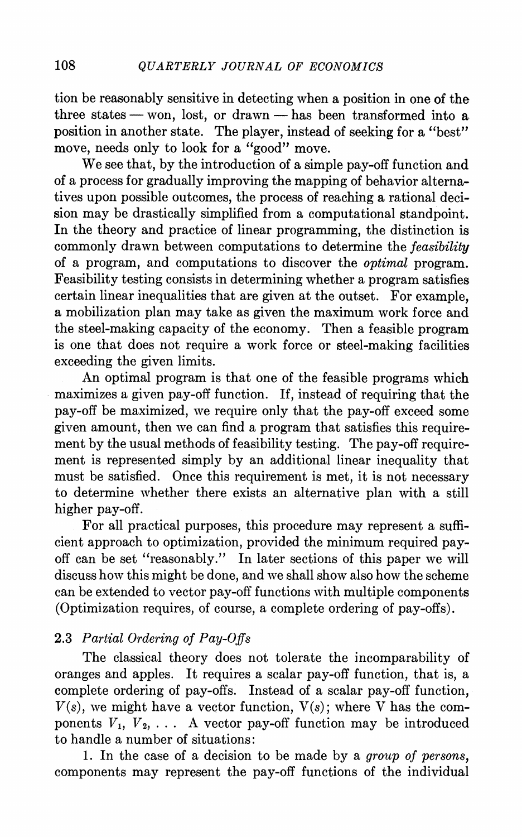**tion be reasonably sensitive in detecting when a position in one of the**  three states — won, lost, or drawn — has been transformed into a **position in another state. The player, instead of seeking for a "best" move, needs only to look for a "good" move.** 

**We see that, by the introduction of a simple pay-off function and of a process for gradually improving the mapping of behavior alternatives upon possible outcomes, the process of reaching a rational decision may be drastically simplified from a computational standpoint. In the theory and practice of linear programming, the distinction is commonly drawn between computations to determine the feasibility of a program, and computations to discover the optimal program. Feasibility testing consists in determining whether a program satisfies certain linear inequalities that are given at the outset. For example, a mobilization plan may take as given the maximum work force and the steel-making capacity of the economy. Then a feasible program is one that does not require a work force or steel-making facilities exceeding the given limits.** 

**An optimal program is that one of the feasible programs which maximizes a given pay-off function. If, instead of requiring that the pay-off be maximized, we require only that the pay-off exceed some given amount, then we can find a program that satisfies this require**ment by the usual methods of feasibility testing. The pay-off require**ment is represented simply by an additional linear inequality that must be satisfied. Once this requirement is met, it is not necessary to determine whether there exists an alternative plan with a still higher pay-off.** 

**For all practical purposes, this procedure may represent a sufficient approach to optimization, provided the minimum required payoff can be set "reasonably." In later sections of this paper we will discuss how this might be done, and we shall show also how the scheme can be extended to vector pay-off functions with multiple components (Optimization requires, of course, a complete ordering of pay-offs).** 

# **2.3 Partial Ordering of Pay-Offs**

**The classical theory does not tolerate the incomparability of oranges and apples. It requires a scalar pay-off function, that is, a complete ordering of pay-offs. Instead of a scalar pay-off function,**   $V(s)$ , we might have a vector function,  $V(s)$ ; where V has the components  $V_1, V_2, \ldots$  A vector pay-off function may be introduced **to handle a number of situations:** 

**1. In the case of a decision to be made by a group of persons, components may represent the pay-off functions of the individual**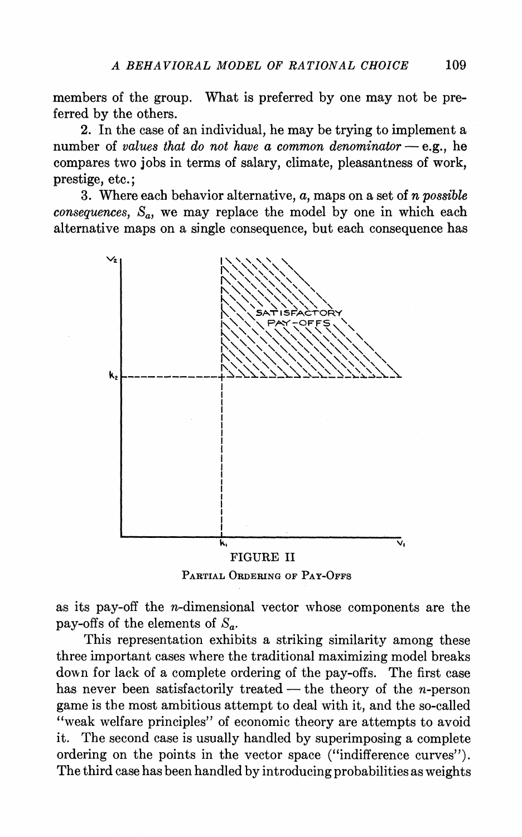**members of the group. What is preferred by one may not be preferred by the others.** 

**2. In the case of an individual, he may be trying to implement a**  number of *values that do not have a common denominator*  $-e.g.,$  he **compares two jobs in terms of salary, climate, pleasantness of work, prestige, etc.;** 

**3. Where each behavior alternative, a, maps on a set of n possible consequences, Sa, we may replace the model by one in which each alternative maps on a single consequence, but each consequence has** 



**PARTIAL ORDERING OF PAY-OFFS** 

**as its pay-off the n-dimensional vector whose components are the**  pay-offs of the elements of  $S_a$ .

**This representation exhibits a striking similarity among these three important cases where the traditional maximizing model breaks down for lack of a complete ordering of the pay-offs. The first case**  has never been satisfactorily treated — the theory of the *n*-person **game is the most ambitious attempt to deal with it, and the so-called "weak welfare principles" of economic theory are attempts to avoid it. The second case is usually handled by superimposing a complete ordering on the points in the vector space ("indifference curves"). The third case has been handled by introducing probabilities as weights handled by introducing probabilities as weights**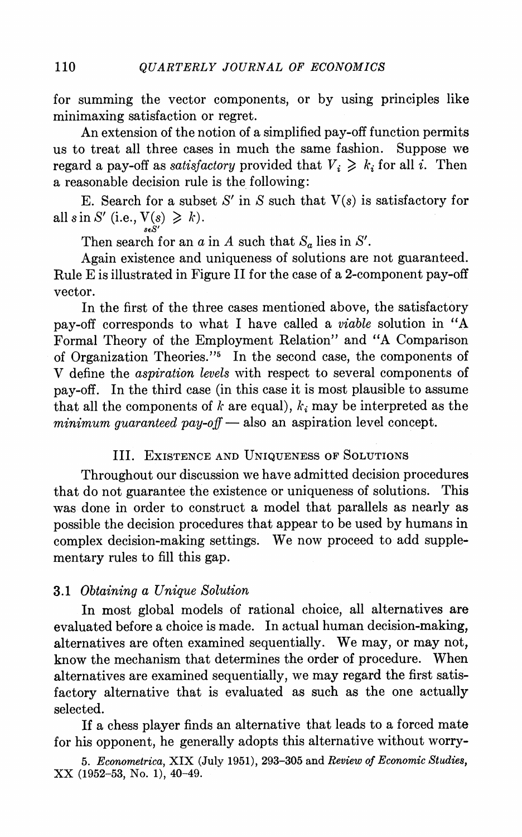**for summing the vector components, or by using principles like minimaxing satisfaction or regret.** 

**An extension of the notion of a simplified pay-off function permits**  us to treat all three cases in much the same fashion. **regard a pay-off as satisfactory provided that**  $V_i \geq k_i$  **for all i. Then a reasonable decision rule is the following:** 

E. Search for a subset  $S'$  in  $S$  such that  $V(s)$  is satisfactory for all  $s$  in  $S'$  (i.e.,  $V(s) \geq k$ ).

Then search for an  $a$  in  $A$  such that  $S_a$  lies in  $S'$ .

**Again existence and uniqueness of solutions are not guaranteed. Rule E is illustrated in Figure II for the case of a 2-component pay-off vector.** 

**In the first of the three cases mentioned above, the satisfactory pay-off corresponds to what I have called a viable solution in "A Formal Theory of the Employment Relation" and "A Comparison of Organization Theories."5 In the second case, the components of V define the aspiration levels with respect to several components of pay-off. In the third case (in this case it is most plausible to assume**  that all the components of  $k$  are equal),  $k_i$  may be interpreted as the  $minimum$  *auaranteed pay-off*  $-$  also an aspiration level concept.

# **III. EXISTENCE AND UNIQUENESS OF SOLUTIONS**

**Throughout our discussion we have admitted decision procedures that do not guarantee the existence or uniqueness of solutions. This was done in order to construct a model that parallels as nearly as possible the decision procedures that appear to be used by humans in complex decision-making settings. We now proceed to add supplementary rules to fill this gap.** 

# **3.1 Obtaining a Unique Solution**

**In most global models of rational choice, all alternatives are evaluated before a choice is made. In actual human decision-making, alternatives are often examined sequentially. We may, or may not, know the mechanism that determines the order of procedure. When alternatives are examined sequentially, we may regard the first satisfactory alternative that is evaluated as such as the one actually selected.** 

**If a chess player finds an alternative that leads to a forced mate for his opponent, he generally adopts this alternative without worry-**

**5. Econometrica, XIX (July 1951), 293-305 and Review of Economic Studies, XX (1952-53, No. 1), 40-49.** 

**110**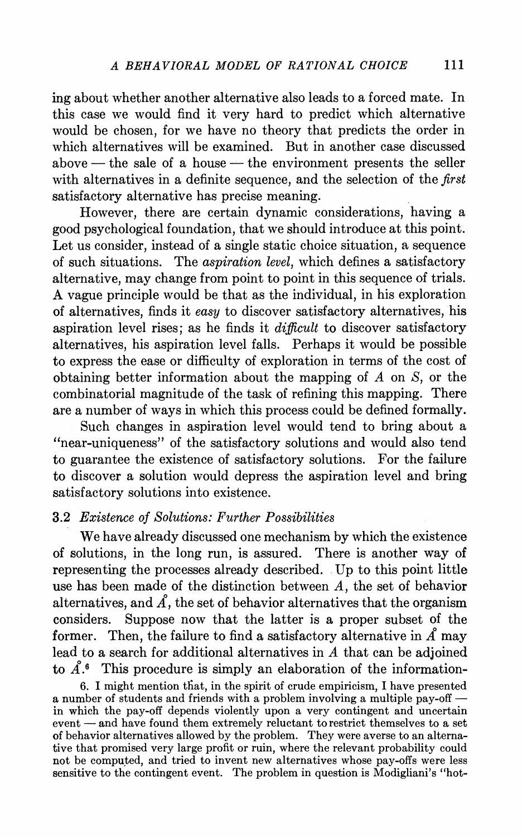**ing about whether another alternative also leads to a forced mate. In this case we would find it very hard to predict which alternative would be chosen, for we have no theory that predicts the order in which alternatives will be examined. But in another case discussed above- the sale of a house - the environment presents the seller with alternatives in a definite sequence, and the selection of the first satisfactory alternative has precise meaning.** 

**However, there are certain dynamic considerations, having a good psychological foundation, that we should introduce at this point. Let us consider, instead of a single static choice situation, a sequence of such situations. The aspiration level, which defines a satisfactory alternative, may change from point to point in this sequence of trials. A vague principle would be that as the individual, in his exploration of alternatives, finds it easy to discover satisfactory alternatives, his aspiration level rises; as he finds it difficult to discover satisfactory alternatives, his aspiration level falls. Perhaps it would be possible to express the ease or difficulty of exploration in terms of the cost of obtaining better information about the mapping of A on S, or the combinatorial magnitude of the task of refining this mapping. There are a number of ways in which this process could be defined formally.** 

**Such changes in aspiration level would tend to bring about a "near-uniqueness" of the satisfactory solutions and would also tend to guarantee the existence of satisfactory solutions. For the failure to discover a solution would depress the aspiration level and bring satisfactory solutions into existence.** 

# **3.2 Existence of Solutions: Further Possibilities**

**We have already discussed one mechanism by which the existence of solutions, in the long run, is assured. There is another way of representing the processes already described. Up to this point little use has been made of the distinction between A, the set of behavior**  alternatives, and  $\hat{A}$ , the set of behavior alternatives that the organism considers. Suppose now that the latter is a proper subset of the Suppose now that the latter is a proper subset of the **former. Then, the failure to find a satisfactory alternative in A may lead to a search for additional alternatives in A that can be adjoined to A.6 This procedure is simply an elaboration of the information-**

**6. I might mention that, in the spirit of crude empiricism, I have presented a** number of students and friends with a problem involving a multiple pay-off **in which the pay-off depends violently upon a very contingent and uncertain**  event - and have found them extremely reluctant to restrict themselves to a set **of behavior alternatives allowed by the problem. They were averse to an alternative that promised very large profit or ruin, where the relevant probability could not be computed, and tried to invent new alternatives whose pay-offs were less sensitive to the contingent event. The problem in question is Modigliani's "hot-**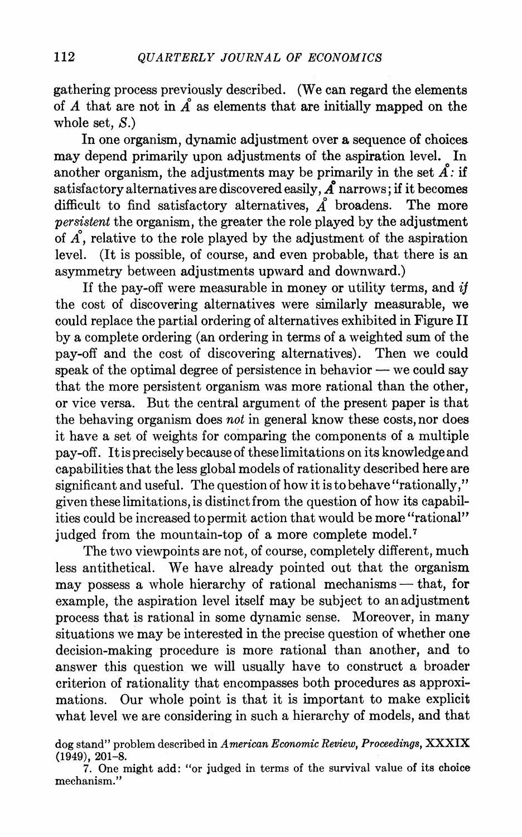**gathering process previously described. (We can regard the elements**  of  $A$  that are not in  $\overrightarrow{A}$  as elements that are initially mapped on the **whole set, S.)** 

**In one organism, dynamic adjustment over a sequence of choices may depend primarily upon adjustments of the aspiration level. In**  another organism, the adjustments may be primarily in the set  $\mathbf{A}$ : if satisfactory alternatives are discovered easily,  $\vec{A}$  narrows; if it becomes difficult to find satisfactory alternatives.  $\vec{A}$  broadens. The more difficult to find satisfactory alternatives,  $\AA$  broadens. **persistent the organism, the greater the role played by the adjustment of A°, relative to the role played by the adjustment of the aspiration level. (It is possible, of course, and even probable, that there is an asymmetry between adjustments upward and downward.)** 

**If the pay-off were measurable in money or utility terms, and if the cost of discovering alternatives were similarly measurable, we could replace the partial ordering of alternatives exhibited in Figure II by a complete ordering (an ordering in terms of a weighted sum of the pay-off and the cost of discovering alternatives). Then we could**  speak of the optimal degree of persistence in behavior — we could say **that the more persistent organism was more rational than the other, or vice versa. But the central argument of the present paper is that the behaving organism does not in general know these costs, nor does it have a set of weights for comparing the components of a multiple pay-off. It is precisely because of these limitations on its knowledge and capabilities that the less global models of rationality described here are significant and useful. The question of how it is to behave "rationally," given these limitations, is distinct from the question of how its capabilities could be increased to permit action that would be more "rational" judged from the mountain-top of a more complete model.7** 

**The two viewpoints are not, of course, completely different, much less antithetical. We have already pointed out that the organism**  may possess a whole hierarchy of rational mechanisms - that, for **example, the aspiration level itself may be subject to anadjustment process that is rational in some dynamic sense. Moreover, in many situations we may be interested in the precise question of whether one decision-making procedure is more rational than another, and to answer this question we will usually have to construct a broader criterion of rationality that encompasses both procedures as approximations. Our whole point is that it is important to make explicit what level we are considering in such a hierarchy of models, and that** 

**dog stand" problem described in American Economic Review, Proceedings, XXXIX (1949), 201-8.** 

**7. One might add: "or judged in terms of the survival value of its choice mechanism."**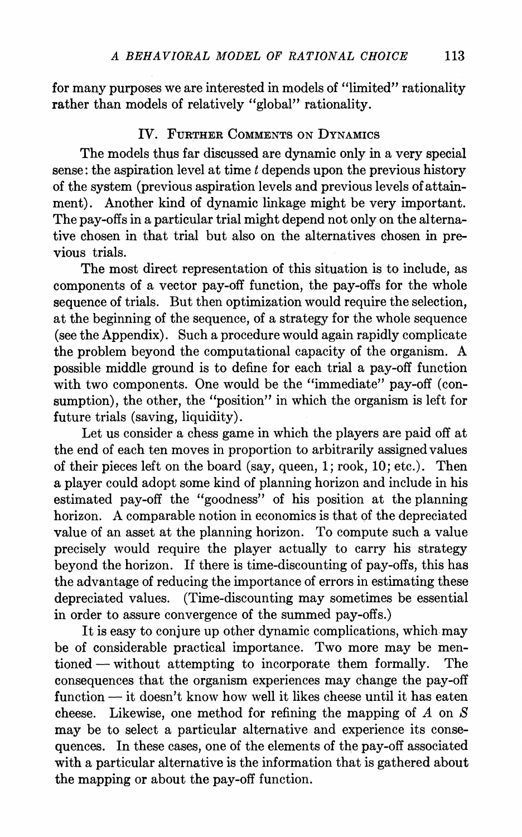**for many purposes we are interested in models of "limited" rationality rather than models of relatively "global" rationality.** 

### **IV. FURTHER COMMENTS ON DYNAMICS**

**The models thus far discussed are dynamic only in a very special sense: the aspiration level at time t depends upon the previous history of the system (previous aspiration levels and previous levels of attainment). Another kind of dynamic linkage might be very important. The pay-offs in a particular trial might depend not only on the alternative chosen in that trial but also on the alternatives chosen in previous trials.** 

**The most direct representation of this situation is to include, as components of a vector pay-off function, the pay-offs for the whole sequence of trials. But then optimization would require the selection, at the beginning of the sequence, of a strategy for the whole sequence (see the Appendix). Such a procedure would again rapidly complicate the problem beyond the computational capacity of the organism. A possible middle ground is to define for each trial a pay-off function**  with two components. One would be the "immediate" pay-off (con**sumption), the other, the "position" in which the organism is left for future trials (saving, liquidity).** 

**Let us consider a chess game in which the players are paid off at the end of each ten moves in proportion to arbitrarily assigned values of their pieces left on the board (say, queen, 1; rook, 10; etc.). Then a player could adopt some kind of planning horizon and include in his estimated pay-off the "goodness" of his position at the planning horizon. A comparable notion in economics is that of the depreciated value of an asset at the planning horizon. To compute such a value precisely would require the player actually to carry his strategy beyond the horizon. If there is time-discounting of pay-offs, this has the advantage of reducing the importance of errors in estimating these depreciated values. (Time-discounting may sometimes be essential in order to assure convergence of the summed pay-offs.)** 

**It is easy to conjure up other dynamic complications, which may**  be of considerable practical importance. Two more may be mentioned — without attempting to incorporate them formally. The tioned — without attempting to incorporate them formally. **consequences that the organism experiences may change the pay-off function - it doesn't know how well it likes cheese until it has eaten cheese. Likewise, one method for refining the mapping of A on S may be to select a particular alternative and experience its consequences. In these cases, one of the elements of the pay-off associated with a particular alternative is the information that is gathered about the mapping or about the pay-off function.**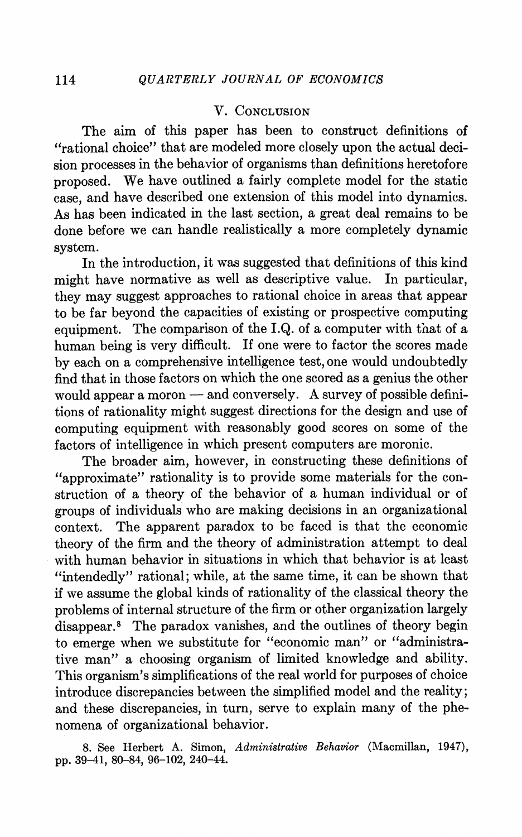# **V. CONCLUSION**

**The aim of this paper has been to construct definitions of "rational choice" that are modeled more closely upon the actual decision processes in the behavior of organisms than definitions heretofore proposed. We have outlined a fairly complete model for the static case, and have described one extension of this model into dynamics. As has been indicated in the last section, a great deal remains to be done before we can handle realistically a more completely dynamic system.** 

**In the introduction, it was suggested that definitions of this kind might have normative as well as descriptive value. In particular, they may suggest approaches to rational choice in areas that appear to be far beyond the capacities of existing or prospective computing equipment. The comparison of the I.Q. of a computer with that of a human being is very difficult. If one were to factor the scores made by each on a comprehensive intelligence test, one would undoubtedly find that in those factors on which the one scored as a genius the other**  would appear a moron – and conversely. A survey of possible defini**tions of rationality might suggest directions for the design and use of computing equipment with reasonably good scores on some of the factors of intelligence in which present computers are moronic.** 

**The broader aim, however, in constructing these definitions of "approximate" rationality is to provide some materials for the construction of a theory of the behavior of a human individual or of groups of individuals who are making decisions in an organizational context. The apparent paradox to be faced is that the economic theory of the firm and the theory of administration attempt to deal with human behavior in situations in which that behavior is at least "intendedly" rational; while, at the same time, it can be shown that if we assume the global kinds of rationality of the classical theory the problems of internal structure of the firm or other organization largely disappear.8 The paradox vanishes, and the outlines of theory begin to emerge when we substitute for "economic man" or "administrative man" a choosing organism of limited knowledge and ability. This organism's simplifications of the real world for purposes of choice introduce discrepancies between the simplified model and the reality; and these discrepancies, in turn, serve to explain many of the phenomena of organizational behavior.** 

**8. See Herbert A. Simon, Administrative Behavior (Macmillan, 1947), pp. 39-41, 80-84, 96-102, 240-44.**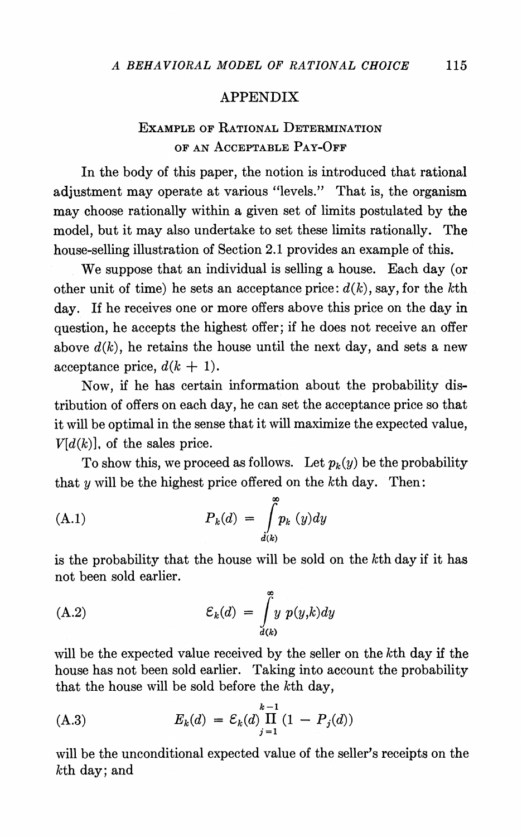# **APPENDIX**

# **EXAMPLE OF RATIONAL DETERMINATION OF AN ACCEPTABLE PAY-OFF**

**In the body of this paper, the notion is introduced that rational adjustment may operate at various "levels." That is, the organism may choose rationally within a given set of limits postulated by the model, but it may also undertake to set these limits rationally. The house-selling illustration of Section 2.1 provides an example of this.** 

**We suppose that an individual is selling a house. Each day (or**  other unit of time) he sets an acceptance price:  $d(k)$ , say, for the k<sup>th</sup> **day. If he receives one or more offers above this price on the day in question, he accepts the highest offer; if he does not receive an offer**  above  $d(k)$ , he retains the house until the next day, and sets a new acceptance price,  $d(k + 1)$ .

**Now, if he has certain information about the probability distribution of offers on each day, he can set the acceptance price so that it will be optimal in the sense that it will maximize the expected value,**   $V[d(k)]$ , of the sales price.

To show this, we proceed as follows. Let  $p_k(y)$  be the probability **that y will be the highest price offered on the kth day. Then:** 

(A.1) 
$$
P_k(d) = \int_{d(k)}^{\infty} p_k(y) dy
$$

**is the probability that the house will be sold on the kth day if it has not been sold earlier.** 

(A.2) 
$$
\mathcal{E}_k(d) = \int_{d(k)}^{\infty} y \ p(y,k) dy
$$

**will be the expected value received by the seller on the kth day if the house has not been sold earlier. Taking into account the probability that the house will be sold before the kth day,** 

(A.3) 
$$
E_k(d) = \mathcal{E}_k(d) \prod_{j=1}^{k-1} (1 - P_j(d))
$$

**will be the unconditional expected value of the seller's receipts on the kth day; and**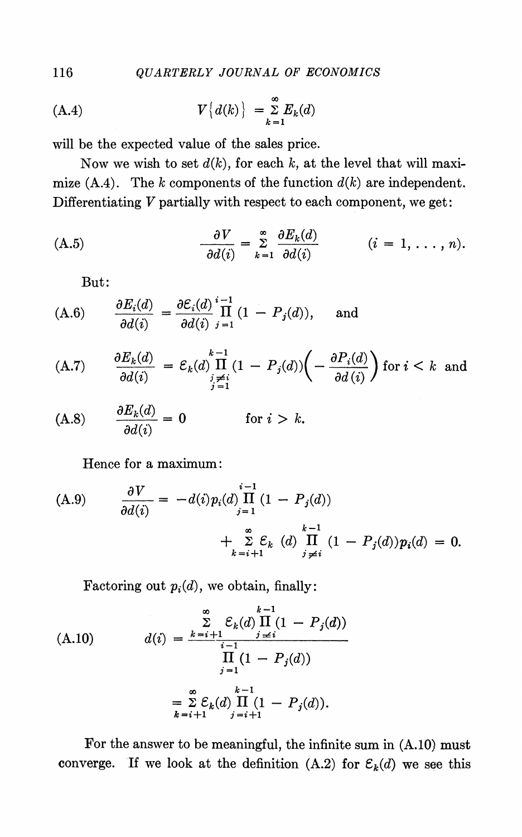**QUARTERLY JOURNAL OF ECONOMICS** 

$$
(A.4) \tV{d(k)} = \sum_{k=1}^{\infty} E_k(d)
$$

**will be the expected value of the sales price.** 

Now we wish to set  $d(k)$ , for each k, at the level that will maximize  $(A.4)$ . The k components of the function  $d(k)$  are independent. **Differentiating V partially with respect to each component, we get:** 

(A.5) 
$$
\frac{\partial V}{\partial d(i)} = \sum_{k=1}^{\infty} \frac{\partial E_k(d)}{\partial d(i)} \qquad (i = 1, \ldots, n).
$$

**But:** 

(A.6) 
$$
\frac{\partial E_i(d)}{\partial d(i)} = \frac{\partial \mathcal{E}_i(d)}{\partial d(i)} \prod_{j=1}^{i-1} (1 - P_j(d)), \text{ and}
$$

(A.7) 
$$
\frac{\partial E_k(d)}{\partial d(i)} = \mathcal{E}_k(d) \prod_{\substack{j \neq i \\ j=1}}^{k-1} (1 - P_j(d)) \left( -\frac{\partial P_i(d)}{\partial d(i)} \right) \text{ for } i < k \text{ and}
$$

(A.8) 
$$
\frac{\partial E_k(d)}{\partial d(i)} = 0 \quad \text{for } i > k.
$$

**Hence for a maximum:** 

(A.9) 
$$
\frac{\partial V}{\partial d(i)} = -d(i)p_i(d) \prod_{j=1}^{i-1} (1 - P_j(d)) + \sum_{k=i+1}^{\infty} E_k(d) \prod_{j \neq i}^{k-1} (1 - P_j(d)) p_i(d) = 0.
$$

Factoring out  $p_i(d)$ , we obtain, finally:

(A.10) 
$$
d(i) = \frac{\sum_{k=i+1}^{\infty} E_k(d) \prod_{j \neq i}^{k-1} (1 - P_j(d))}{\prod_{j=1}^{K} (1 - P_j(d))}
$$

$$
= \sum_{k=i+1}^{\infty} E_k(d) \prod_{j=i+1}^{k-1} (1 - P_j(d)).
$$

**For the answer to be meaningful, the infinite sum in (A.10) must converge.** If we look at the definition (A.2) for  $\mathcal{E}_k(d)$  we see this

**116**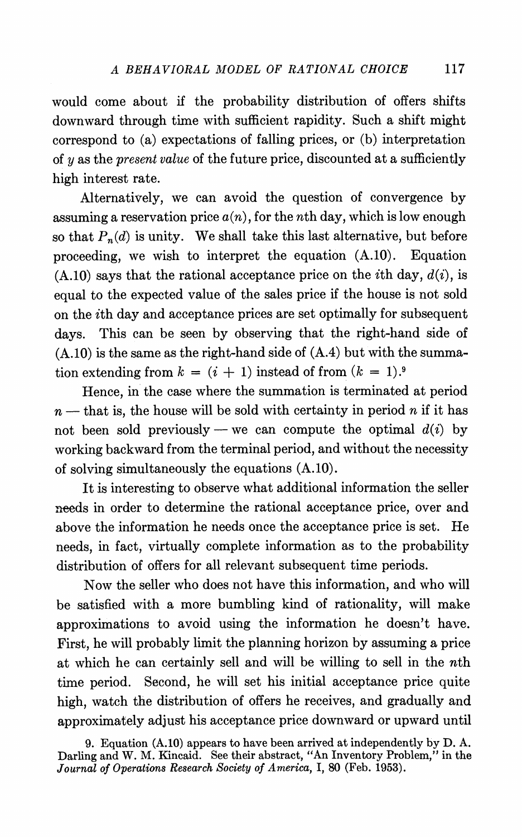**would come about if the probability distribution of offers shifts downward through time with sufficient rapidity. Such a shift might correspond to (a) expectations of falling prices, or (b) interpretation of y as the present value of the future price, discounted at a sufficiently high interest rate.** 

**Alternatively, we can avoid the question of convergence by**  assuming a reservation price  $a(n)$ , for the *n*th day, which is low enough so that  $P_n(d)$  is unity. We shall take this last alternative, but before **proceeding, we wish to interpret the equation (A.10). Equation**   $(A.10)$  says that the rational acceptance price on the *i*th day,  $d(i)$ , is **equal to the expected value of the sales price if the house is not sold on the ith day and acceptance prices are set optimally for subsequent days. This can be seen by observing that the right-hand side of (A.10) is the same as the right-hand side of (A.4) but with the summa**tion extending from  $k = (i + 1)$  instead of from  $(k = 1)$ .

**Hence, in the case where the summation is terminated at period**   $n -$  that is, the house will be sold with certainty in period n if it has not been sold previously — we can compute the optimal  $d(i)$  by **working backward from the terminal period, and without the necessity of solving simultaneously the equations (A.10).** 

**It is interesting to observe what additional information the seller needs in order to determine the rational acceptance price, over and above the information he needs once the acceptance price is set. He needs, in fact, virtually complete information as to the probability distribution of offers for all relevant subsequent time periods.** 

**Now the seller who does not have this information, and who will be satisfied with a more bumbling kind of rationality, will make approximations to avoid using the information he doesn't have. First, he will probably limit the planning horizon by assuming a price at which he can certainly sell and will be willing to sell in the nth time period. Second, he will set his initial acceptance price quite high, watch the distribution of offers he receives, and gradually and approximately adjust his acceptance price downward or upward until** 

**<sup>9.</sup> Equation (A.10) appears to have been arrived at independently by D. A. Darling and W. M. Kincaid. See their abstract, "An Inventory Problem," in the Journal of Operations Research Society of America, I, 80 (Feb. 1953).**